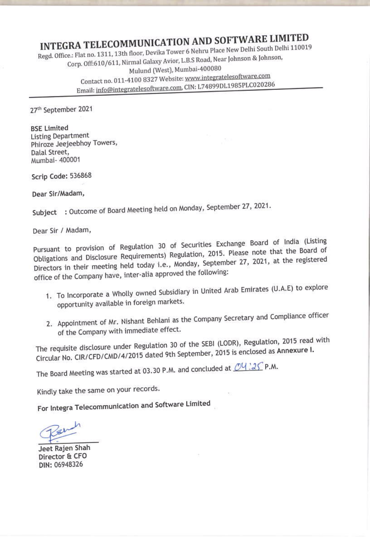## INTEGRA TELECOMMUNICATION AND SOFTWARE LIMITED

<u> 1988 - Andrej Mariji (Andrej Andrej Andrej Andrej Andrej Andrej Andrej Andrej Andrej Andrej Andrej Andrej An</u>

Regd. Office.: Flat no. 1311, 13th floor, Devika Tower <sup>6</sup> Nehru Place New Delhi South Delhi <sup>110019</sup> Corp. Off:610/611, Nirmal Galaxy Avior, L.B.S Road, Near Johnson & Johnson, Mulund (West), Mumbai-400080 Contact no. 011-4100 8327 Website: www.integratelesoftware.com Email: info@integratelesoftware.com, CIN: L74899DL1985PLC020286

27" September 2021

BSE Limited Listing Department Phiroze Jeejeebhoy Towers, Dalal Street, Mumbai- 400001

Scrip Code: 536868

Dear Sir/Madam,

Subject : Outcome of Board Meeting held on Monday, September 27, 2021.

Dear Sir / Madam,

Pursuant to provision of Regulation <sup>30</sup> of Securities Exchange Board of India (Listing Obligations and Disclosure Requirements) Regulation, 2015. Please note that the Board of Directors in their meeting held today i.e., Monday, September 27, 2021, at the registered office of the Company have, inter-alia approved the following:

1. To Incorporate <sup>a</sup> Wholly owned Subsidiary in United Arab Emirates (U.A.E) to explore opportunity available in foreign markets.

I

2. Appointment of Mr. Nishant Behlani as the Company Secretary and Compliance officer of the Company with immediate effect.

The requisite disclosure under Regulation <sup>30</sup> of the SEB! (LODR), Regulation, <sup>2015</sup> read with Circular No. CIR/CFD/CMD/4/2015 dated 9th September, <sup>2015</sup> is enclosed as AnnexureI.

The Board Meeting was started at 03.30 P.M. and concluded at  $\underline{\mathcal{O}Q}$  . 25 P.M.

Kindly take the same on your records.

For Integra Telecommunication and Software Limited

Jeet Rajen Shah Director & CFO DIN: 06948326